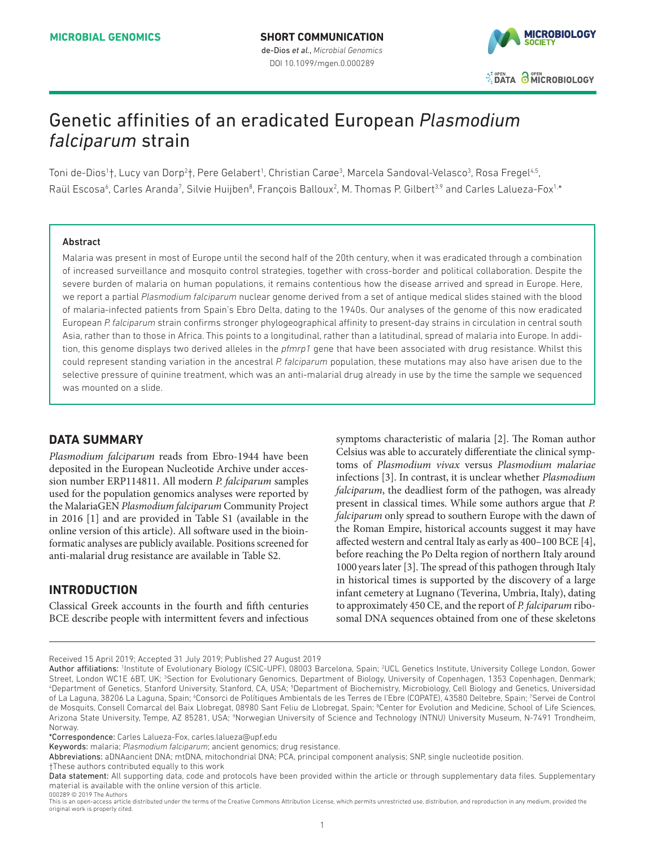

# Genetic affinities of an eradicated European *Plasmodium falciparum* strain

Toni de-Dios<sup>1</sup>†, Lucy van Dorp<sup>2</sup>†, Pere Gelabert<sup>1</sup>, Christian Carøe<sup>3</sup>, Marcela Sandoval-Velasco<sup>3</sup>, Rosa Fregel<sup>4,5</sup>, Raül Escosa<sup>6</sup>, Carles Aranda<sup>7</sup>, Silvie Huijben<sup>8</sup>, François Balloux<sup>2</sup>, M. Thomas P. Gilbert<sup>3,9</sup> and Carles Lalueza-Fox<sup>1,\*</sup>

## Abstract

Malaria was present in most of Europe until the second half of the 20th century, when it was eradicated through a combination of increased surveillance and mosquito control strategies, together with cross-border and political collaboration. Despite the severe burden of malaria on human populations, it remains contentious how the disease arrived and spread in Europe. Here, we report a partial *Plasmodium falciparum* nuclear genome derived from a set of antique medical slides stained with the blood of malaria-infected patients from Spain's Ebro Delta, dating to the 1940s. Our analyses of the genome of this now eradicated European *P. falciparum* strain confirms stronger phylogeographical affinity to present-day strains in circulation in central south Asia, rather than to those in Africa. This points to a longitudinal, rather than a latitudinal, spread of malaria into Europe. In addition, this genome displays two derived alleles in the *pfmrp1* gene that have been associated with drug resistance. Whilst this could represent standing variation in the ancestral *P. falciparum* population, these mutations may also have arisen due to the selective pressure of quinine treatment, which was an anti-malarial drug already in use by the time the sample we sequenced was mounted on a slide.

# **Data Summary**

*Plasmodium falciparum* reads from Ebro-1944 have been deposited in the European Nucleotide Archive under accession number ERP114811. All modern *P. falciparum* samples used for the population genomics analyses were reported by the MalariaGEN *Plasmodium falciparum* Community Project in 2016 [\[1](#page-4-0)] and are provided in Table S1 (available in the online version of this article). All software used in the bioinformatic analyses are publicly available. Positions screened for anti-malarial drug resistance are available in Table S2.

# **Introduction**

000289 © 2019 The Authors

Classical Greek accounts in the fourth and fifth centuries BCE describe people with intermittent fevers and infectious symptoms characteristic of malaria [\[2](#page-4-1)]. The Roman author Celsius was able to accurately differentiate the clinical symptoms of *Plasmodium vivax* versus *Plasmodium malariae* infections [[3](#page-4-2)]. In contrast, it is unclear whether *Plasmodium falciparum*, the deadliest form of the pathogen, was already present in classical times. While some authors argue that *P. falciparum* only spread to southern Europe with the dawn of the Roman Empire, historical accounts suggest it may have affected western and central Italy as early as 400–100 BCE [[4](#page-4-3)], before reaching the Po Delta region of northern Italy around 1000 years later [[3\]](#page-4-2). The spread of this pathogen through Italy in historical times is supported by the discovery of a large infant cemetery at Lugnano (Teverina, Umbria, Italy), dating to approximately 450 CE, and the report of *P. falciparum* ribosomal DNA sequences obtained from one of these skeletons

Received 15 April 2019; Accepted 31 July 2019; Published 27 August 2019

Author affiliations: 1Institute of Evolutionary Biology (CSIC-UPF), 08003 Barcelona, Spain; <sup>2</sup>UCL Genetics Institute, University College London, Gower Street, London WC1E 6BT, UK; <sup>3</sup>Section for Evolutionary Genomics, Department of Biology, University of Copenhagen, 1353 Copenhagen, Denmark;<br>"Department of Genetics, Stanford University, Stanford, CA, USA: <sup>5</sup>Department o Department of Genetics, Stanford University, Stanford, CA, USA; <sup>5</sup>Department of Biochemistry, Microbiology, Cell Biology and Genetics, Universidad of La Laguna, 38206 La Laguna, Spain; <sup>6</sup>Consorci de Polítiques Ambientals de les Terres de l'Ebre (COPATE), 43580 Deltebre, Spain; <sup>7</sup>Servei de Control de Mosquits, Consell Comarcal del Baix Llobregat, 08980 Sant Feliu de Llobregat, Spain; <sup>a</sup>Center for Evolution and Medicine, School of Life Sciences, Arizona State University, Tempe, AZ 85281, USA; <sup>9</sup>Norwegian University of Science and Technology (NTNU) University Museum, N-7491 Trondheim, Norway.

<sup>\*</sup>Correspondence: Carles Lalueza-Fox, carles.lalueza@upf.edu

Keywords: malaria; *Plasmodium falciparum*; ancient genomics; drug resistance.

Abbreviations: aDNAancient DNA; mtDNA, mitochondrial DNA; PCA, principal component analysis; SNP, single nucleotide position.

<sup>†</sup>These authors contributed equally to this work

Data statement: All supporting data, code and protocols have been provided within the article or through supplementary data files. Supplementary material is available with the online version of this article.

This is an open-access article distributed under the terms of the Creative Commons Attribution License, which permits unrestricted use, distribution, and reproduction in any medium, provided the original work is properly cited.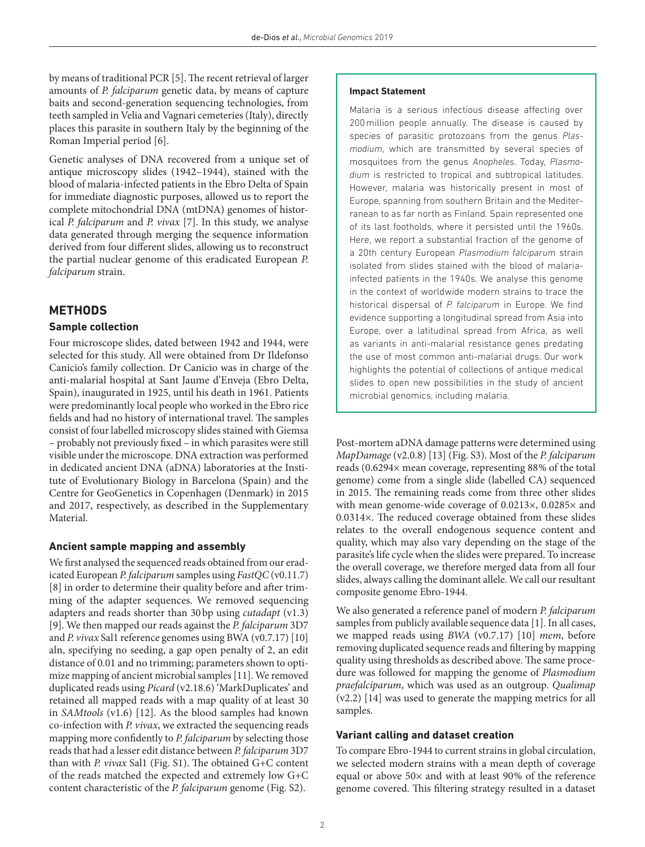by means of traditional PCR [[5](#page-4-4)]. The recent retrieval of larger amounts of *P. falciparum* genetic data, by means of capture baits and second-generation sequencing technologies, from teeth sampled in Velia and Vagnari cemeteries (Italy), directly places this parasite in southern Italy by the beginning of the Roman Imperial period [[6](#page-5-0)].

Genetic analyses of DNA recovered from a unique set of antique microscopy slides (1942–1944), stained with the blood of malaria-infected patients in the Ebro Delta of Spain for immediate diagnostic purposes, allowed us to report the complete mitochondrial DNA (mtDNA) genomes of historical *P. falciparum* and *P. vivax* [[7](#page-5-1)]. In this study, we analyse data generated through merging the sequence information derived from four different slides, allowing us to reconstruct the partial nuclear genome of this eradicated European *P. falciparum* strain.

## **Methods**

## **Sample collection**

Four microscope slides, dated between 1942 and 1944, were selected for this study. All were obtained from Dr Ildefonso Canicio's family collection. Dr Canicio was in charge of the anti-malarial hospital at Sant Jaume d'Enveja (Ebro Delta, Spain), inaugurated in 1925, until his death in 1961. Patients were predominantly local people who worked in the Ebro rice fields and had no history of international travel. The samples consist of four labelled microscopy slides stained with Giemsa – probably not previously fixed – in which parasites were still visible under the microscope. DNA extraction was performed in dedicated ancient DNA (aDNA) laboratories at the Institute of Evolutionary Biology in Barcelona (Spain) and the Centre for GeoGenetics in Copenhagen (Denmark) in 2015 and 2017, respectively, as described in the Supplementary Material.

## **Ancient sample mapping and assembly**

We first analysed the sequenced reads obtained from our eradicated European *P. falciparum* samples using *FastQC* (v0.11.7) [[8\]](#page-5-2) in order to determine their quality before and after trimming of the adapter sequences. We removed sequencing adapters and reads shorter than 30bp using *cutadapt* (v1.3) [[9\]](#page-5-3). We then mapped our reads against the *P. falciparum* 3D7 and *P. vivax* Sal1 reference genomes using BWA (v0.7.17) [[10](#page-5-4)] aln, specifying no seeding, a gap open penalty of 2, an edit distance of 0.01 and no trimming; parameters shown to optimize mapping of ancient microbial samples [[11](#page-5-5)]. We removed duplicated reads using *Picard* (v2.18.6) 'MarkDuplicates' and retained all mapped reads with a map quality of at least 30 in *SAMtools* (v1.6) [[12](#page-5-6)]. As the blood samples had known co-infection with *P. vivax*, we extracted the sequencing reads mapping more confidently to *P. falciparum* by selecting those reads that had a lesser edit distance between *P. falciparum* 3D7 than with *P. vivax* Sal1 (Fig. S1). The obtained G+C content of the reads matched the expected and extremely low G+C content characteristic of the *P. falciparum* genome (Fig. S2).

#### **Impact Statement**

Malaria is a serious infectious disease affecting over 200million people annually. The disease is caused by species of parasitic protozoans from the genus *Plasmodium*, which are transmitted by several species of mosquitoes from the genus *Anopheles*. Today, *Plasmodium* is restricted to tropical and subtropical latitudes. However, malaria was historically present in most of Europe, spanning from southern Britain and the Mediterranean to as far north as Finland. Spain represented one of its last footholds, where it persisted until the 1960s. Here, we report a substantial fraction of the genome of a 20th century European *Plasmodium falciparum* strain isolated from slides stained with the blood of malariainfected patients in the 1940s. We analyse this genome in the context of worldwide modern strains to trace the historical dispersal of *P. falciparum* in Europe. We find evidence supporting a longitudinal spread from Asia into Europe, over a latitudinal spread from Africa, as well as variants in anti-malarial resistance genes predating the use of most common anti-malarial drugs. Our work highlights the potential of collections of antique medical slides to open new possibilities in the study of ancient microbial genomics, including malaria.

Post-mortem aDNA damage patterns were determined using *MapDamage* (v2.0.8) [\[13\]](#page-5-7) (Fig. S3). Most of the *P. falciparum* reads (0.6294× mean coverage, representing 88% of the total genome) come from a single slide (labelled CA) sequenced in 2015. The remaining reads come from three other slides with mean genome-wide coverage of 0.0213×, 0.0285× and 0.0314×. The reduced coverage obtained from these slides relates to the overall endogenous sequence content and quality, which may also vary depending on the stage of the parasite's life cycle when the slides were prepared. To increase the overall coverage, we therefore merged data from all four slides, always calling the dominant allele. We call our resultant composite genome Ebro-1944.

We also generated a reference panel of modern *P. falciparum* samples from publicly available sequence data [[1\]](#page-4-0). In all cases, we mapped reads using *BWA* (v0.7.17) [\[10\]](#page-5-4) *mem*, before removing duplicated sequence reads and filtering by mapping quality using thresholds as described above. The same procedure was followed for mapping the genome of *Plasmodium praefalciparum*, which was used as an outgroup. *Qualimap* (v2.2) [[14](#page-5-8)] was used to generate the mapping metrics for all samples.

## **Variant calling and dataset creation**

To compare Ebro-1944 to current strains in global circulation, we selected modern strains with a mean depth of coverage equal or above 50× and with at least 90% of the reference genome covered. This filtering strategy resulted in a dataset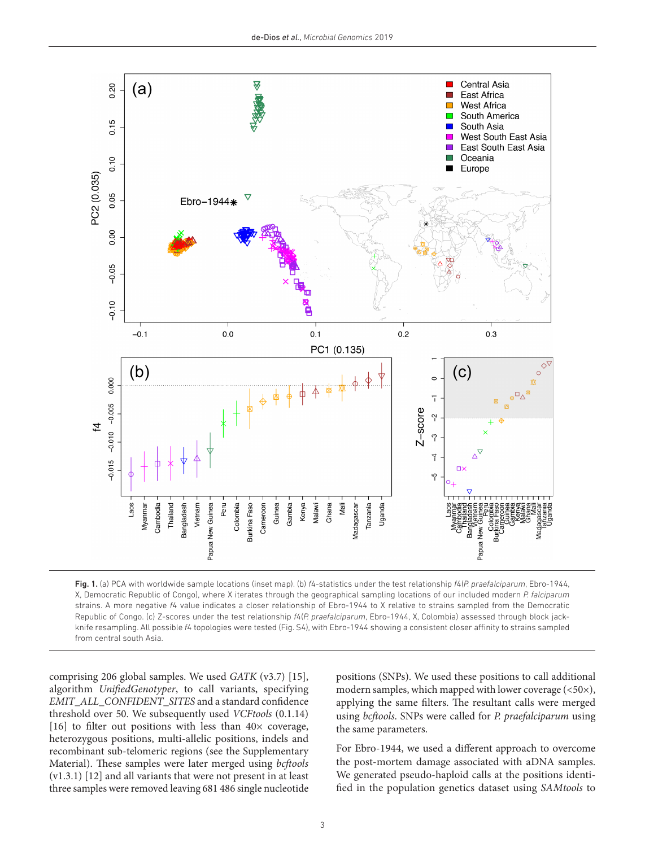

<span id="page-2-0"></span>Fig. 1. (a) PCA with worldwide sample locations (inset map). (b) *f*4-statistics under the test relationship *f*4(*P. praefalciparum*, Ebro-1944, X, Democratic Republic of Congo), where X iterates through the geographical sampling locations of our included modern *P. falciparum* strains. A more negative *f*4 value indicates a closer relationship of Ebro-1944 to X relative to strains sampled from the Democratic Republic of Congo. (c) Z-scores under the test relationship *f*4(*P. praefalciparum*, Ebro-1944, X, Colombia) assessed through block jackknife resampling. All possible *f*4 topologies were tested (Fig. S4), with Ebro-1944 showing a consistent closer affinity to strains sampled from central south Asia.

comprising 206 global samples. We used *GATK* (v3.7) [[15](#page-5-9)], algorithm *UnifiedGenotyper*, to call variants, specifying *EMIT\_ALL\_CONFIDENT\_SITES* and a standard confidence threshold over 50. We subsequently used *VCFtools* (0.1.14) [[16\]](#page-5-10) to filter out positions with less than  $40\times$  coverage, heterozygous positions, multi-allelic positions, indels and recombinant sub-telomeric regions (see the Supplementary Material). These samples were later merged using *bcftools* (v1.3.1) [[12](#page-5-6)] and all variants that were not present in at least three samples were removed leaving 681 486 single nucleotide

positions (SNPs). We used these positions to call additional modern samples, which mapped with lower coverage (<50×), applying the same filters. The resultant calls were merged using *bcftools*. SNPs were called for *P. praefalciparum* using the same parameters.

For Ebro-1944, we used a different approach to overcome the post-mortem damage associated with aDNA samples. We generated pseudo-haploid calls at the positions identified in the population genetics dataset using *SAMtools* to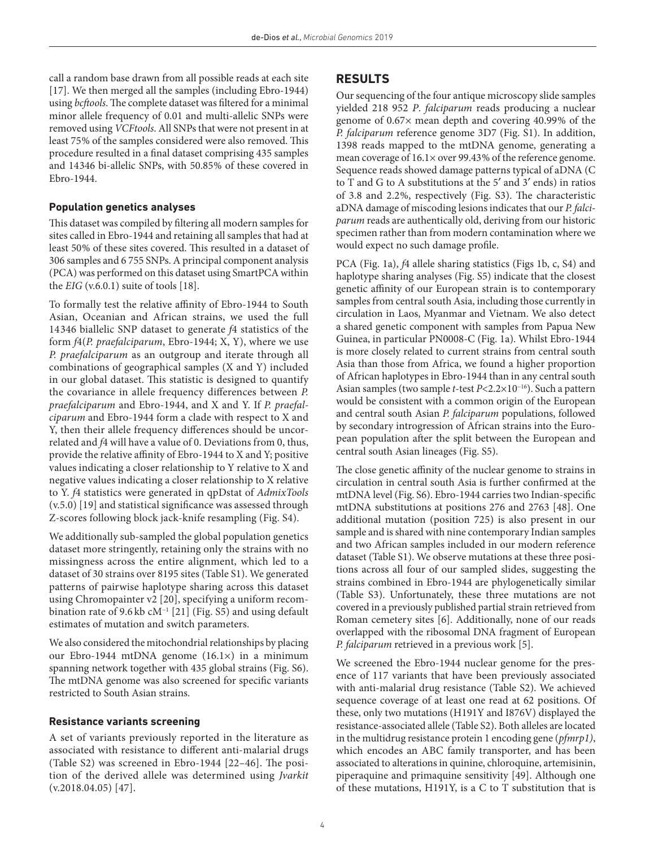call a random base drawn from all possible reads at each site [[17](#page-5-11)]. We then merged all the samples (including Ebro-1944) using *bcftools*. The complete dataset was filtered for a minimal minor allele frequency of 0.01 and multi-allelic SNPs were removed using *VCFtools*. All SNPs that were not present in at least 75% of the samples considered were also removed. This procedure resulted in a final dataset comprising 435 samples and 14346 bi-allelic SNPs, with 50.85% of these covered in Ebro-1944.

## **Population genetics analyses**

This dataset was compiled by filtering all modern samples for sites called in Ebro-1944 and retaining all samples that had at least 50% of these sites covered. This resulted in a dataset of 306 samples and 6 755 SNPs. A principal component analysis (PCA) was performed on this dataset using SmartPCA within the  $EIG$  (v.6.0.1) suite of tools [[18](#page-5-12)].

To formally test the relative affinity of Ebro-1944 to South Asian, Oceanian and African strains, we used the full 14346 biallelic SNP dataset to generate *f*4 statistics of the form *f*4(*P. praefalciparum*, Ebro-1944; X, Y), where we use *P. praefalciparum* as an outgroup and iterate through all combinations of geographical samples (X and Y) included in our global dataset. This statistic is designed to quantify the covariance in allele frequency differences between *P. praefalciparum* and Ebro-1944, and X and Y. If *P. praefalciparum* and Ebro-1944 form a clade with respect to X and Y, then their allele frequency differences should be uncorrelated and *f*4 will have a value of 0. Deviations from 0, thus, provide the relative affinity of Ebro-1944 to X and Y; positive values indicating a closer relationship to Y relative to X and negative values indicating a closer relationship to X relative to Y. *f*4 statistics were generated in qpDstat of *AdmixTools* (v.5.0) [\[19](#page-5-13)] and statistical significance was assessed through Z-scores following block jack-knife resampling (Fig. S4).

We additionally sub-sampled the global population genetics dataset more stringently, retaining only the strains with no missingness across the entire alignment, which led to a dataset of 30 strains over 8195 sites (Table S1). We generated patterns of pairwise haplotype sharing across this dataset using Chromopainter v2 [[20\]](#page-5-14), specifying a uniform recombination rate of 9.6 kb cM−1 [[21\]](#page-5-15) (Fig. S5) and using default estimates of mutation and switch parameters.

We also considered the mitochondrial relationships by placing our Ebro-1944 mtDNA genome (16.1×) in a minimum spanning network together with 435 global strains (Fig. S6). The mtDNA genome was also screened for specific variants restricted to South Asian strains.

### **Resistance variants screening**

A set of variants previously reported in the literature as associated with resistance to different anti-malarial drugs (Table S2) was screened in Ebro-1944 [[22–46](#page-5-16)]. The position of the derived allele was determined using *Jvarkit* (v.2018.04.05) [[47](#page-6-0)].

## **Results**

Our sequencing of the four antique microscopy slide samples yielded 218 952 *P*. *falciparum* reads producing a nuclear genome of 0.67× mean depth and covering 40.99% of the *P. falciparum* reference genome 3D7 (Fig. S1). In addition, 1398 reads mapped to the mtDNA genome, generating a mean coverage of 16.1× over 99.43% of the reference genome. Sequence reads showed damage patterns typical of aDNA (C to T and G to A substitutions at the 5′ and 3′ ends) in ratios of 3.8 and 2.2%, respectively (Fig. S3). The characteristic aDNA damage of miscoding lesions indicates that our *P. falciparum* reads are authentically old, deriving from our historic specimen rather than from modern contamination where we would expect no such damage profile.

PCA ([Fig. 1a](#page-2-0)), *f*4 allele sharing statistics ([Figs 1b, c](#page-2-0), S4) and haplotype sharing analyses (Fig. S5) indicate that the closest genetic affinity of our European strain is to contemporary samples from central south Asia, including those currently in circulation in Laos, Myanmar and Vietnam. We also detect a shared genetic component with samples from Papua New Guinea, in particular PN0008-C [\(Fig. 1a\)](#page-2-0). Whilst Ebro-1944 is more closely related to current strains from central south Asia than those from Africa, we found a higher proportion of African haplotypes in Ebro-1944 than in any central south Asian samples (two sample *t*-test *P*<2.2×10−16). Such a pattern would be consistent with a common origin of the European and central south Asian *P. falciparum* populations, followed by secondary introgression of African strains into the European population after the split between the European and central south Asian lineages (Fig. S5).

The close genetic affinity of the nuclear genome to strains in circulation in central south Asia is further confirmed at the mtDNA level (Fig. S6). Ebro-1944 carries two Indian-specific mtDNA substitutions at positions 276 and 2763 [[48\]](#page-6-1). One additional mutation (position 725) is also present in our sample and is shared with nine contemporary Indian samples and two African samples included in our modern reference dataset (Table S1). We observe mutations at these three positions across all four of our sampled slides, suggesting the strains combined in Ebro-1944 are phylogenetically similar (Table S3). Unfortunately, these three mutations are not covered in a previously published partial strain retrieved from Roman cemetery sites [\[6](#page-5-0)]. Additionally, none of our reads overlapped with the ribosomal DNA fragment of European *P. falciparum* retrieved in a previous work [\[5\]](#page-4-4).

We screened the Ebro-1944 nuclear genome for the presence of 117 variants that have been previously associated with anti-malarial drug resistance (Table S2). We achieved sequence coverage of at least one read at 62 positions. Of these, only two mutations (H191Y and I876V) displayed the resistance-associated allele (Table S2). Both alleles are located in the multidrug resistance protein 1 encoding gene (*pfmrp1)*, which encodes an ABC family transporter, and has been associated to alterations in quinine, chloroquine, artemisinin, piperaquine and primaquine sensitivity [[49](#page-6-2)]. Although one of these mutations, H191Y, is a C to T substitution that is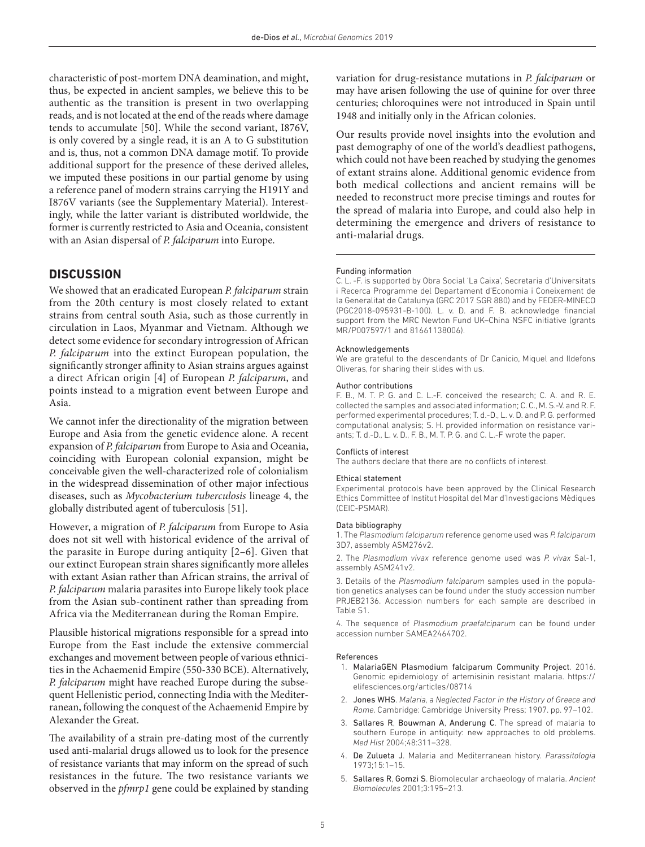characteristic of post-mortem DNA deamination, and might, thus, be expected in ancient samples, we believe this to be authentic as the transition is present in two overlapping reads, and is not located at the end of the reads where damage tends to accumulate [\[50\]](#page-6-3). While the second variant, I876V, is only covered by a single read, it is an A to G substitution and is, thus, not a common DNA damage motif. To provide additional support for the presence of these derived alleles, we imputed these positions in our partial genome by using a reference panel of modern strains carrying the H191Y and I876V variants (see the Supplementary Material). Interestingly, while the latter variant is distributed worldwide, the former is currently restricted to Asia and Oceania, consistent with an Asian dispersal of *P. falciparum* into Europe.

## **Discussion**

We showed that an eradicated European *P. falciparum* strain from the 20th century is most closely related to extant strains from central south Asia, such as those currently in circulation in Laos, Myanmar and Vietnam. Although we detect some evidence for secondary introgression of African *P. falciparum* into the extinct European population, the significantly stronger affinity to Asian strains argues against a direct African origin [\[4](#page-4-3)] of European *P. falciparum*, and points instead to a migration event between Europe and Asia.

We cannot infer the directionality of the migration between Europe and Asia from the genetic evidence alone. A recent expansion of *P. falciparum* from Europe to Asia and Oceania, coinciding with European colonial expansion, might be conceivable given the well-characterized role of colonialism in the widespread dissemination of other major infectious diseases, such as *Mycobacterium tuberculosis* lineage 4, the globally distributed agent of tuberculosis [\[51](#page-6-4)].

However, a migration of *P. falciparum* from Europe to Asia does not sit well with historical evidence of the arrival of the parasite in Europe during antiquity [[2–6\]](#page-4-1). Given that our extinct European strain shares significantly more alleles with extant Asian rather than African strains, the arrival of *P. falciparum* malaria parasites into Europe likely took place from the Asian sub-continent rather than spreading from Africa via the Mediterranean during the Roman Empire.

Plausible historical migrations responsible for a spread into Europe from the East include the extensive commercial exchanges and movement between people of various ethnicities in the Achaemenid Empire (550-330 BCE). Alternatively, *P. falciparum* might have reached Europe during the subsequent Hellenistic period, connecting India with the Mediterranean, following the conquest of the Achaemenid Empire by Alexander the Great.

The availability of a strain pre-dating most of the currently used anti-malarial drugs allowed us to look for the presence of resistance variants that may inform on the spread of such resistances in the future. The two resistance variants we observed in the *pfmrp1* gene could be explained by standing variation for drug-resistance mutations in *P. falciparum* or may have arisen following the use of quinine for over three centuries; chloroquines were not introduced in Spain until 1948 and initially only in the African colonies.

Our results provide novel insights into the evolution and past demography of one of the world's deadliest pathogens, which could not have been reached by studying the genomes of extant strains alone. Additional genomic evidence from both medical collections and ancient remains will be needed to reconstruct more precise timings and routes for the spread of malaria into Europe, and could also help in determining the emergence and drivers of resistance to anti-malarial drugs.

#### Funding information

C. L. -F. is supported by Obra Social 'La Caixa', Secretaria d'Universitats i Recerca Programme del Departament d'Economia i Coneixement de la Generalitat de Catalunya (GRC 2017 SGR 880) and by FEDER-MINECO (PGC2018-095931-B-100). L. v. D. and F. B. acknowledge financial support from the MRC Newton Fund UK–China NSFC initiative (grants MR/P007597/1 and 81661138006).

#### Acknowledgements

We are grateful to the descendants of Dr Canicio, Miquel and Ildefons Oliveras, for sharing their slides with us.

#### Author contributions

F. B., M. T. P. G. and C. L.-F. conceived the research; C. A. and R. E. collected the samples and associated information; C. C., M. S.-V. and R. F. performed experimental procedures; T. d.-D., L. v. D. and P. G. performed computational analysis; S. H. provided information on resistance variants; T. d.-D., L. v. D., F. B., M. T. P. G. and C. L.-F wrote the paper.

#### Conflicts of interest

The authors declare that there are no conflicts of interest.

#### Ethical statement

Experimental protocols have been approved by the Clinical Research Ethics Committee of Institut Hospital del Mar d'Investigacions Mèdiques (CEIC-PSMAR).

#### Data bibliography

1. The *Plasmodium falciparum* reference genome used was *P. falciparum* 3D7, assembly ASM276v2.

2. The *Plasmodium vivax* reference genome used was *P. vivax* Sal-1, assembly ASM241v2.

3. Details of the *Plasmodium falciparum* samples used in the population genetics analyses can be found under the study accession number PRJEB2136. Accession numbers for each sample are described in Table S1.

4. The sequence of *Plasmodium praefalciparum* can be found under accession number SAMEA2464702.

#### References

- <span id="page-4-0"></span>1. MalariaGEN Plasmodium falciparum Community Project. 2016. Genomic epidemiology of artemisinin resistant malaria. [https://](https://elifesciences.org/articles/08714) [elifesciences.org/articles/08714](https://elifesciences.org/articles/08714)
- <span id="page-4-1"></span>2. Jones WHS. *Malaria, a Neglected Factor in the History of Greece and Rome*. Cambridge: Cambridge University Press; 1907. pp. 97–102.
- <span id="page-4-2"></span>3. Sallares R, Bouwman A, Anderung C. The spread of malaria to southern Europe in antiquity: new approaches to old problems. *Med Hist* 2004;48:311–328.
- <span id="page-4-3"></span>4. De Zulueta J. Malaria and Mediterranean history. *Parassitologia* 1973;15:1–15.
- <span id="page-4-4"></span>5. Sallares R, Gomzi S. Biomolecular archaeology of malaria. *Ancient Biomolecules* 2001;3:195–213.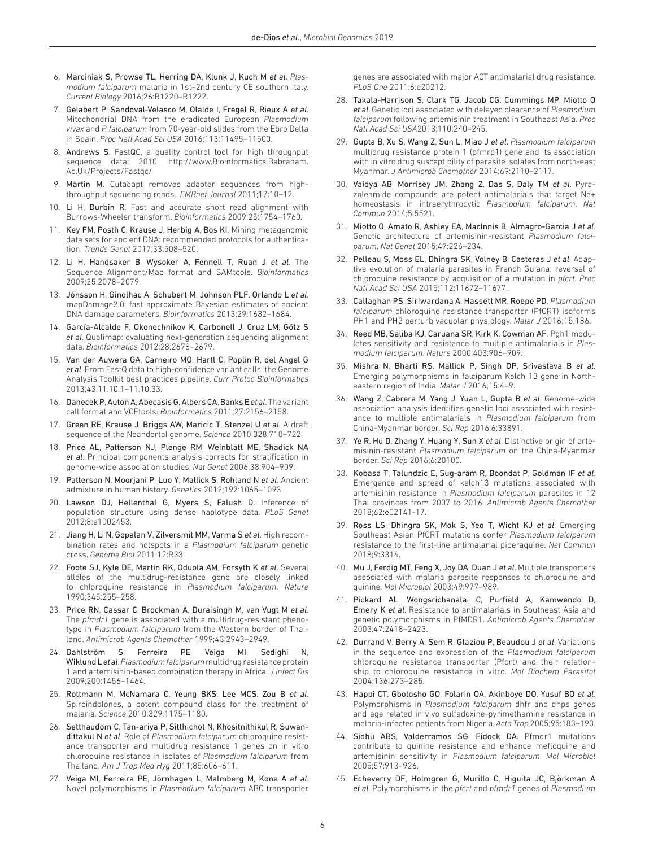- <span id="page-5-0"></span>6. Marciniak S, Prowse TL, Herring DA, Klunk J, Kuch M *et al*. *Plasmodium falciparum* malaria in 1st–2nd century CE southern Italy. *Current Biology* 2016;26:R1220–R1222.
- <span id="page-5-1"></span>7. Gelabert P, Sandoval-Velasco M, Olalde I, Fregel R, Rieux A *et al*. Mitochondrial DNA from the eradicated European *Plasmodium vivax* and *P. falciparum* from 70-year-old slides from the Ebro Delta in Spain. *Proc Natl Acad Sci USA* 2016;113:11495–11500.
- <span id="page-5-2"></span>Andrews S. FastQC, a quality control tool for high throughput sequence data; 2010. [http://www.Bioinformatics.Babraham.](http://www.Bioinformatics.Babraham.Ac.Uk/Projects/Fastqc/) [Ac.Uk/Projects/Fastqc/](http://www.Bioinformatics.Babraham.Ac.Uk/Projects/Fastqc/)
- <span id="page-5-3"></span>9. Martin M. Cutadapt removes adapter sequences from highthroughput sequencing reads.. *EMBnet.Journal* 2011;17:10–12.
- <span id="page-5-4"></span>10. Li H, Durbin R. Fast and accurate short read alignment with Burrows-Wheeler transform. *Bioinformatics* 2009;25:1754–1760.
- <span id="page-5-5"></span>11. Key FM, Posth C, Krause J, Herbig A, Bos KI. Mining metagenomic data sets for ancient DNA: recommended protocols for authentication. *Trends Genet* 2017;33:508–520.
- <span id="page-5-6"></span>12. Li H, Handsaker B, Wysoker A, Fennell T, Ruan J *et al*. The Sequence Alignment/Map format and SAMtools. *Bioinformatics* 2009;25:2078–2079.
- <span id="page-5-7"></span>13. Jónsson H, Ginolhac A, Schubert M, Johnson PLF, Orlando L *et al*. mapDamage2.0: fast approximate Bayesian estimates of ancient DNA damage parameters. *Bioinformatics* 2013;29:1682–1684.
- <span id="page-5-8"></span>14. García-Alcalde F, Okonechnikov K, Carbonell J, Cruz LM, Götz S *et al*. Qualimap: evaluating next-generation sequencing alignment data. *Bioinformatics* 2012;28:2678–2679.
- <span id="page-5-9"></span>15. Van der Auwera GA, Carneiro MO, Hartl C, Poplin R, del Angel G *et al*. From FastQ data to high-confidence variant calls: the Genome Analysis Toolkit best practices pipeline. *Curr Protoc Bioinformatics* 2013;43:11.10.1–11.10.33.
- <span id="page-5-10"></span>16. DanecekP, AutonA, AbecasisG, Albers CA, Banks E *et al*. The variant call format and VCFtools. *Bioinformatics* 2011;27:2156–2158.
- <span id="page-5-11"></span>17. Green RE, Krause J, Briggs AW, Maricic T, Stenzel U *et al*. A draft sequence of the Neandertal genome. *Science* 2010;328:710–722.
- <span id="page-5-12"></span>18. Price AL, Patterson NJ, Plenge RM, Weinblatt ME, Shadick NA *et al*. Principal components analysis corrects for stratification in genome-wide association studies. *Nat Genet* 2006;38:904–909.
- <span id="page-5-13"></span>19. Patterson N, Moorjani P, Luo Y, Mallick S, Rohland N *et al*. Ancient admixture in human history. *Genetics* 2012;192:1065–1093.
- <span id="page-5-14"></span>20. Lawson DJ, Hellenthal G, Myers S, Falush D. Inference of population structure using dense haplotype data. *PLoS Genet* 2012;8:e1002453.
- <span id="page-5-15"></span>21. Jiang H, Li N, Gopalan V, Zilversmit MM, Varma S *et al*. High recombination rates and hotspots in a *Plasmodium falciparum* genetic cross. *Genome Biol* 2011;12:R33.
- <span id="page-5-16"></span>22. Foote SJ, Kyle DE, Martin RK, Oduola AM, Forsyth K *et al*. Several alleles of the multidrug-resistance gene are closely linked to chloroquine resistance in *Plasmodium falciparum*. *Nature* 1990;345:255–258.
- 23. Price RN, Cassar C, Brockman A, Duraisingh M, van Vugt M *et al*. The *pfmdr1* gene is associated with a multidrug-resistant phenotype in *Plasmodium falciparum* from the Western border of Thailand. *Antimicrob Agents Chemother* 1999;43:2943–2949.
- 24. Dahlström S, Ferreira PE, Veiga MI, Sedighi N, WiklundL*et al*. *Plasmodium falciparum* multidrug resistance protein 1 and artemisinin-based combination therapy in Africa. *J Infect Dis* 2009;200:1456–1464.
- 25. Rottmann M, McNamara C, Yeung BKS, Lee MCS, Zou B *et al*. Spiroindolones, a potent compound class for the treatment of malaria. *Science* 2010;329:1175–1180.
- 26. Setthaudom C, Tan-ariya P, Sitthichot N, Khositnithikul R, Suwandittakul N *et al*. Role of *Plasmodium falciparum* chloroquine resistance transporter and multidrug resistance 1 genes on in vitro chloroquine resistance in isolates of *Plasmodium falciparum* from Thailand. *Am J Trop Med Hyg* 2011;85:606–611.
- 27. Veiga MI, Ferreira PE, Jörnhagen L, Malmberg M, Kone A *et al*. Novel polymorphisms in *Plasmodium falciparum* ABC transporter

genes are associated with major ACT antimalarial drug resistance. *PLoS One* 2011;6:e20212.

- 28. Takala-Harrison S, Clark TG, Jacob CG, Cummings MP, Miotto O *et al*. Genetic loci associated with delayed clearance of *Plasmodium falciparum* following artemisinin treatment in Southeast Asia. *Proc Natl Acad Sci USA*2013;110:240–245.
- 29. Gupta B, Xu S, Wang Z, Sun L, Miao J *et al*. *Plasmodium falciparum* multidrug resistance protein 1 (pfmrp1) gene and its association with in vitro drug susceptibility of parasite isolates from north-east Myanmar. *J Antimicrob Chemother* 2014;69:2110–2117.
- 30. Vaidya AB, Morrisey JM, Zhang Z, Das S, Daly TM *et al*. Pyrazoleamide compounds are potent antimalarials that target Na+ homeostasis in intraerythrocytic *Plasmodium falciparum*. *Nat Commun* 2014;5:5521.
- 31. Miotto O, Amato R, Ashley EA, MacInnis B, Almagro-Garcia J *et al*. Genetic architecture of artemisinin-resistant *Plasmodium falciparum*. *Nat Genet* 2015;47:226–234.
- 32. Pelleau S, Moss EL, Dhingra SK, Volney B, Casteras J *et al*. Adaptive evolution of malaria parasites in French Guiana: reversal of chloroquine resistance by acquisition of a mutation in *pfcrt*. *Proc Natl Acad Sci USA* 2015;112:11672–11677.
- 33. Callaghan PS, Siriwardana A, Hassett MR, Roepe PD. *Plasmodium falciparum* chloroquine resistance transporter (PfCRT) isoforms PH1 and PH2 perturb vacuolar physiology. *Malar J* 2016;15:186.
- 34. Reed MB, Saliba KJ, Caruana SR, Kirk K, Cowman AF. Pgh1 modulates sensitivity and resistance to multiple antimalarials in *Plasmodium falciparum*. *Nature* 2000;403:906–909.
- 35. Mishra N, Bharti RS, Mallick P, Singh OP, Srivastava B *et al*. Emerging polymorphisms in falciparum Kelch 13 gene in Northeastern region of India. *Malar J* 2016;15:4–9.
- 36. Wang Z, Cabrera M, Yang J, Yuan L, Gupta B *et al*. Genome-wide association analysis identifies genetic loci associated with resistance to multiple antimalarials in *Plasmodium falciparum* from China-Myanmar border. *Sci Rep* 2016;6:33891.
- 37. Ye R, Hu D, Zhang Y, Huang Y, Sun X *et al*. Distinctive origin of artemisinin-resistant *Plasmodium falciparum* on the China-Myanmar border. *Sci Rep* 2016;6:20100.
- 38. Kobasa T, Talundzic E, Sug-aram R, Boondat P, Goldman IF *et al*. Emergence and spread of kelch13 mutations associated with artemisinin resistance in *Plasmodium falciparum* parasites in 12 Thai provinces from 2007 to 2016. *Antimicrob Agents Chemother* 2018;62:e02141-17.
- 39. Ross LS, Dhingra SK, Mok S, Yeo T, Wicht KJ *et al*. Emerging Southeast Asian PfCRT mutations confer *Plasmodium falciparum* resistance to the first-line antimalarial piperaquine. *Nat Commun* 2018;9:3314.
- 40. Mu J, Ferdig MT, Feng X, Joy DA, Duan J *et al*. Multiple transporters associated with malaria parasite responses to chloroquine and quinine. *Mol Microbiol* 2003;49:977–989.
- 41. Pickard AL, Wongsrichanalai C, Purfield A, Kamwendo D, Emery K *et al*. Resistance to antimalarials in Southeast Asia and genetic polymorphisms in PfMDR1. *Antimicrob Agents Chemother* 2003;47:2418–2423.
- 42. Durrand V, Berry A, Sem R, Glaziou P, Beaudou J *et al*. Variations in the sequence and expression of the *Plasmodium falciparum* chloroquine resistance transporter (Pfcrt) and their relationship to chloroquine resistance in vitro. *Mol Biochem Parasitol* 2004;136:273–285.
- 43. Happi CT, Gbotosho GO, Folarin OA, Akinboye DO, Yusuf BO *et al*. Polymorphisms in *Plasmodium falciparum* dhfr and dhps genes and age related in vivo sulfadoxine-pyrimethamine resistance in malaria-infected patients from Nigeria. *Acta Trop* 2005;95:183–193.
- 44. Sidhu ABS, Valderramos SG, Fidock DA. Pfmdr1 mutations contribute to quinine resistance and enhance mefloquine and artemisinin sensitivity in *Plasmodium falciparum*. *Mol Microbiol* 2005;57:913–926.
- 45. Echeverry DF, Holmgren G, Murillo C, Higuita JC, Björkman A *et al*. Polymorphisms in the *pfcrt* and *pfmdr1* genes of *Plasmodium*